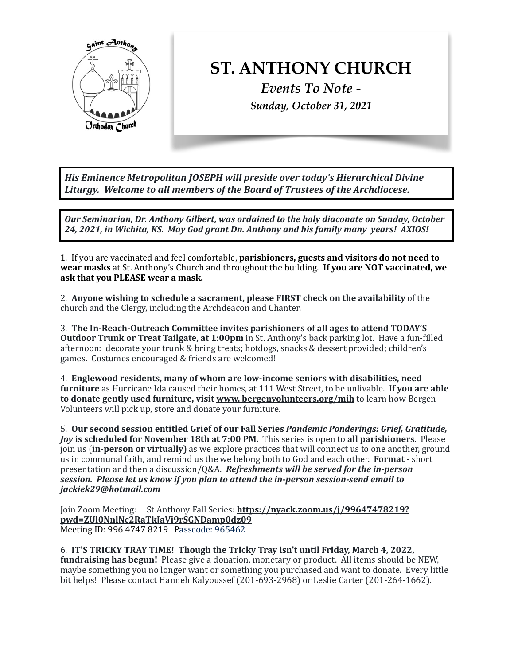

## **ST. ANTHONY CHURCH**

*Events To Note - Sunday, October 31, 2021*

His Eminence Metropolitan JOSEPH will preside over today's Hierarchical Divine Liturgy. Welcome to all members of the Board of Trustees of the Archdiocese.

**Our Seminarian, Dr. Anthony Gilbert, was ordained to the holy diaconate on Sunday, October** 24, 2021, in Wichita, KS. May God grant Dn. Anthony and his family many *years!* AXIOS!

1. If you are vaccinated and feel comfortable, **parishioners, guests and visitors do not need to** wear masks at St. Anthony's Church and throughout the building. If you are NOT vaccinated, we ask that you PLEASE wear a mask.

2. Anyone wishing to schedule a sacrament, please FIRST check on the availability of the church and the Clergy, including the Archdeacon and Chanter.

3. The In-Reach-Outreach Committee invites parishioners of all ages to attend TODAY'S **Outdoor Trunk or Treat Tailgate, at 1:00pm** in St. Anthony's back parking lot. Have a fun-filled afternoon: decorate your trunk  $&$  bring treats; hotdogs, snacks  $&$  dessert provided; children's games. Costumes encouraged & friends are welcomed!

4. Englewood residents, many of whom are low-income seniors with disabilities, need **furniture** as Hurricane Ida caused their homes, at 111 West Street, to be unlivable. If you are able **to donate gently used furniture, visit www. bergenvolunteers.org/mih** to learn how Bergen Volunteers will pick up, store and donate your furniture.

5. Our second session entitled Grief of our Fall Series Pandemic Ponderings: Grief, Gratitude, *Joy* is scheduled for November 18th at 7:00 PM. This series is open to all parishioners. Please join us (**in-person or virtually**) as we explore practices that will connect us to one another, ground us in communal faith, and remind us the we belong both to God and each other. **Format** - short presentation and then a discussion/Q&A. *Refreshments will be served for the in-person session.* Please let us know if you plan to attend the in-person session-send email to *jackiek29@hotmail.com* 

Join Zoom Meeting: St Anthony Fall Series: [https://nyack.zoom.us/j/99647478219?](https://nyack.zoom.us/j/99647478219?pwd=ZUl0NnlNc2RaTkJaVi9rSGNDamp0dz09) **[pwd=ZUl0NnlNc2RaTkJaVi9rSGNDamp0dz09](https://nyack.zoom.us/j/99647478219?pwd=ZUl0NnlNc2RaTkJaVi9rSGNDamp0dz09)**  Meeting ID: 996 4747 8219 Passcode: 965462

6. **IT'S TRICKY TRAY TIME!** Though the Tricky Tray isn't until Friday, March 4, 2022, **fundraising has begun!** Please give a donation, monetary or product. All items should be NEW, maybe something you no longer want or something you purchased and want to donate. Every little bit helps! Please contact Hanneh Kalyoussef (201-693-2968) or Leslie Carter (201-264-1662).